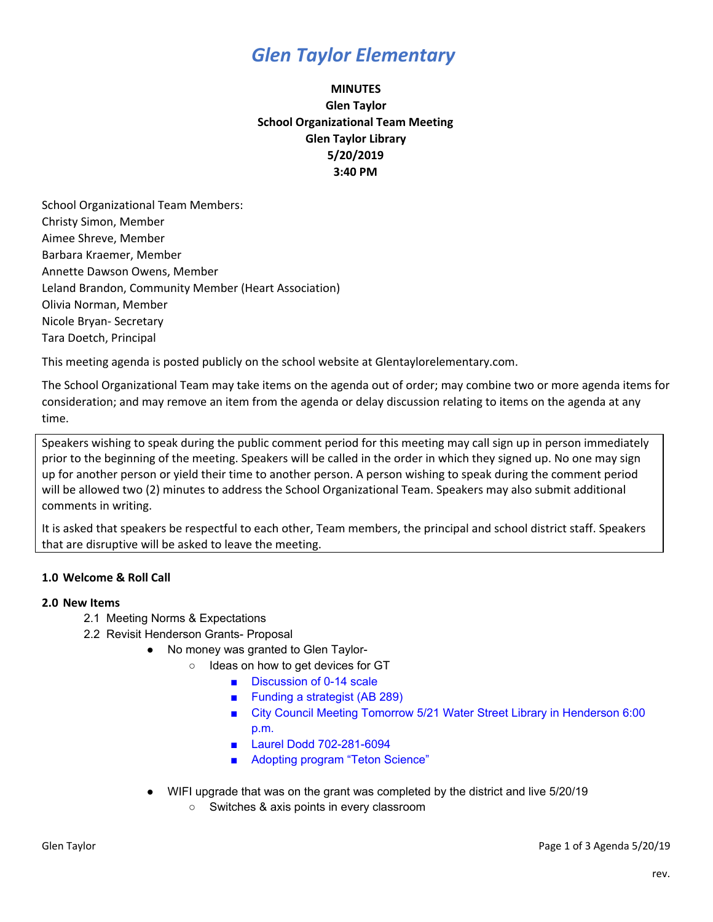## *Glen Taylor Elementary*

### **MINUTES Glen Taylor School Organizational Team Meeting Glen Taylor Library 5/20/2019 3:40 PM**

School Organizational Team Members: Christy Simon, Member Aimee Shreve, Member Barbara Kraemer, Member Annette Dawson Owens, Member Leland Brandon, Community Member (Heart Association) Olivia Norman, Member Nicole Bryan- Secretary Tara Doetch, Principal

This meeting agenda is posted publicly on the school website at Glentaylorelementary.com.

The School Organizational Team may take items on the agenda out of order; may combine two or more agenda items for consideration; and may remove an item from the agenda or delay discussion relating to items on the agenda at any time.

Speakers wishing to speak during the public comment period for this meeting may call sign up in person immediately prior to the beginning of the meeting. Speakers will be called in the order in which they signed up. No one may sign up for another person or yield their time to another person. A person wishing to speak during the comment period will be allowed two (2) minutes to address the School Organizational Team. Speakers may also submit additional comments in writing.

It is asked that speakers be respectful to each other, Team members, the principal and school district staff. Speakers that are disruptive will be asked to leave the meeting.

### **1.0 Welcome & Roll Call**

### **2.0 New Items**

- 2.1 Meeting Norms & Expectations
- 2.2 Revisit Henderson Grants- Proposal
	- No money was granted to Glen Taylor-
		- Ideas on how to get devices for GT
			- Discussion of 0-14 scale
			- Funding a strategist (AB 289)
			- City Council Meeting Tomorrow 5/21 Water Street Library in Henderson 6:00 p.m.
			- Laurel Dodd 702-281-6094
			- Adopting program "Teton Science"
		- WIFI upgrade that was on the grant was completed by the district and live 5/20/19
			- Switches & axis points in every classroom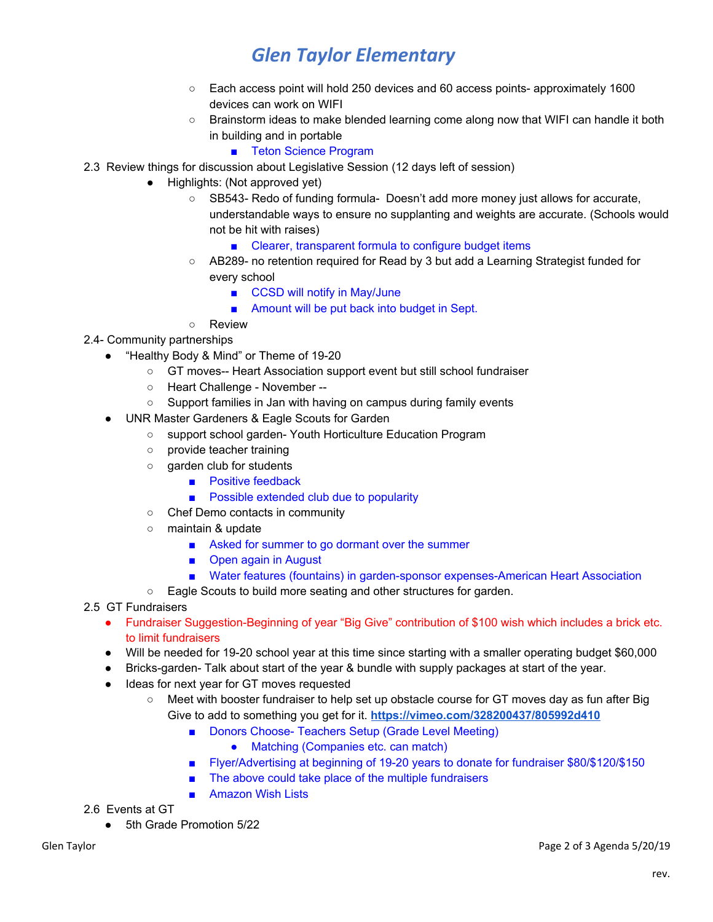# *Glen Taylor Elementary*

- Each access point will hold 250 devices and 60 access points- approximately 1600 devices can work on WIFI
- Brainstorm ideas to make blended learning come along now that WIFI can handle it both in building and in portable
	- Teton Science Program
- 2.3 Review things for discussion about Legislative Session (12 days left of session)
	- Highlights: (Not approved yet)
		- SB543- Redo of funding formula- Doesn't add more money just allows for accurate, understandable ways to ensure no supplanting and weights are accurate. (Schools would not be hit with raises)
			- Clearer, transparent formula to configure budget items
		- AB289- no retention required for Read by 3 but add a Learning Strategist funded for every school
			- CCSD will notify in May/June
			- Amount will be put back into budget in Sept.
		- Review

### 2.4- Community partnerships

- "Healthy Body & Mind" or Theme of 19-20
	- GT moves-- Heart Association support event but still school fundraiser
	- Heart Challenge November --
	- Support families in Jan with having on campus during family events
	- UNR Master Gardeners & Eagle Scouts for Garden
		- support school garden- Youth Horticulture Education Program
		- provide teacher training
		- garden club for students
			- Positive feedback
			- Possible extended club due to popularity
		- Chef Demo contacts in community
		- maintain & update
			- Asked for summer to go dormant over the summer
			- Open again in August
			- Water features (fountains) in garden-sponsor expenses-American Heart Association
		- Eagle Scouts to build more seating and other structures for garden.
- 2.5 GT Fundraisers
	- Fundraiser Suggestion-Beginning of year "Big Give" contribution of \$100 wish which includes a brick etc. to limit fundraisers
	- Will be needed for 19-20 school year at this time since starting with a smaller operating budget \$60,000
	- Bricks-garden- Talk about start of the year & bundle with supply packages at start of the year.
	- Ideas for next year for GT moves requested
		- Meet with booster fundraiser to help set up obstacle course for GT moves day as fun after Big Give to add to something you get for it. **[https://vimeo.com/328200437/805992d410](http://sl.boosterthon.com/t/11020/c/4440716b-e8e5-493a-a19d-84f988cab3dd/NB2HI4DTHIXS65TJNVSW6LTDN5WS6MZSHAZDAMBUGM3S6OBQGU4TSMTEGQYTA===/vimeo-com-328200437-805992d410/true)**
			- Donors Choose- Teachers Setup (Grade Level Meeting)
				- Matching (Companies etc. can match)
			- Flyer/Advertising at beginning of 19-20 years to donate for fundraiser \$80/\$120/\$150
			- The above could take place of the multiple fundraisers
			- Amazon Wish Lists

2.6 Events at GT

● 5th Grade Promotion 5/22